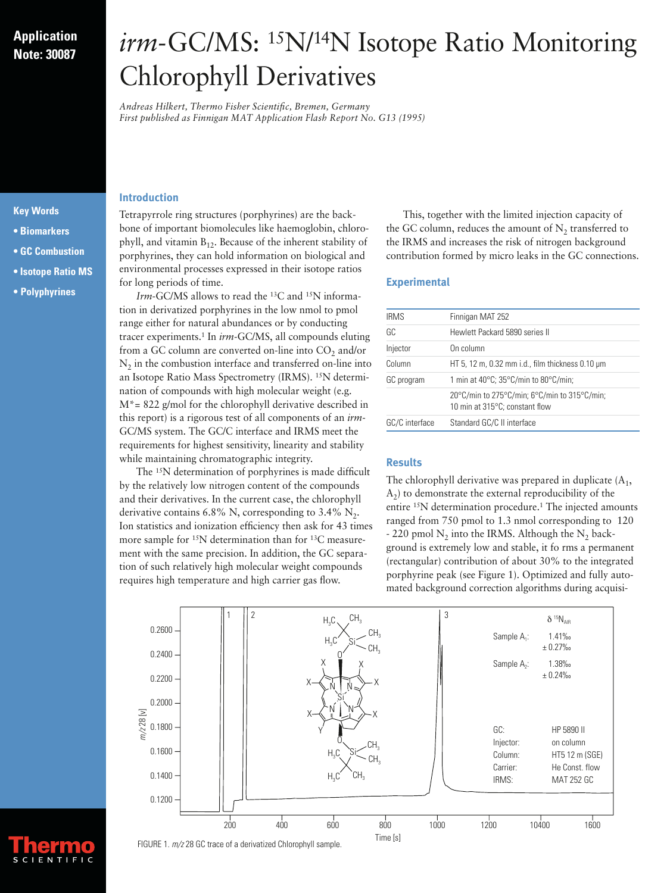# **Application Note: 30087**

# *irm*-GC/MS: 15N/14N Isotope Ratio Monitoring Chlorophyll Derivatives

*Andreas Hilkert, Thermo Fisher Scientific, Bremen, Germany First published as Finnigan MAT Application Flash Report No. G13 (1995)*

### **Introduction**

#### **Key Words**

- **Biomarkers**
- **GC Combustion**
- **Isotope Ratio MS**
- **• Polyphyrines**

Tetrapyrrole ring structures (porphyrines) are the backbone of important biomolecules like haemoglobin, chlorophyll, and vitamin  $B_{12}$ . Because of the inherent stability of porphyrines, they can hold information on biological and environmental processes expressed in their isotope ratios for long periods of time.

*Irm*-GC/MS allows to read the 13C and 15N information in derivatized porphyrines in the low nmol to pmol range either for natural abundances or by conducting tracer experiments.1 In *irm*-GC/MS, all compounds eluting from a GC column are converted on-line into  $CO<sub>2</sub>$  and/or  $N<sub>2</sub>$  in the combustion interface and transferred on-line into an Isotope Ratio Mass Spectrometry (IRMS). 15N determination of compounds with high molecular weight (e.g.  $M^*$  = 822 g/mol for the chlorophyll derivative described in this report) is a rigorous test of all components of an *irm*-GC/MS system. The GC/C interface and IRMS meet the requirements for highest sensitivity, linearity and stability while maintaining chromatographic integrity.

The 15N determination of porphyrines is made difficult by the relatively low nitrogen content of the compounds and their derivatives. In the current case, the chlorophyll derivative contains 6.8% N, corresponding to 3.4%  $N_2$ . Ion statistics and ionization efficiency then ask for 43 times more sample for 15N determination than for 13C measurement with the same precision. In addition, the GC separation of such relatively high molecular weight compounds requires high temperature and high carrier gas flow.

This, together with the limited injection capacity of the GC column, reduces the amount of  $N<sub>2</sub>$  transferred to the IRMS and increases the risk of nitrogen background contribution formed by micro leaks in the GC connections.

# **Experimental**

| <b>IRMS</b>    | Finnigan MAT 252                                                                         |
|----------------|------------------------------------------------------------------------------------------|
| GC             | Hewlett Packard 5890 series II                                                           |
| Injector       | On column                                                                                |
| Column         | HT 5, 12 m, 0.32 mm i.d., film thickness 0.10 $\mu$ m                                    |
| GC program     | 1 min at 40°C; 35°C/min to 80°C/min;                                                     |
|                | 20°C/min to 275°C/min; 6°C/min to 315°C/min;<br>10 min at $315^{\circ}$ C; constant flow |
| GC/C interface | Standard GC/C II interface                                                               |

# **Results**

The chlorophyll derivative was prepared in duplicate  $(A_1, A_2)$  $A_2$ ) to demonstrate the external reproducibility of the entire 15N determination procedure.1 The injected amounts ranged from 750 pmol to 1.3 nmol corresponding to 120 - 220 pmol  $N_2$  into the IRMS. Although the  $N_2$  background is extremely low and stable, it fo rms a permanent (rectangular) contribution of about 30% to the integrated porphyrine peak (see Figure 1). Optimized and fully automated background correction algorithms during acquisi-